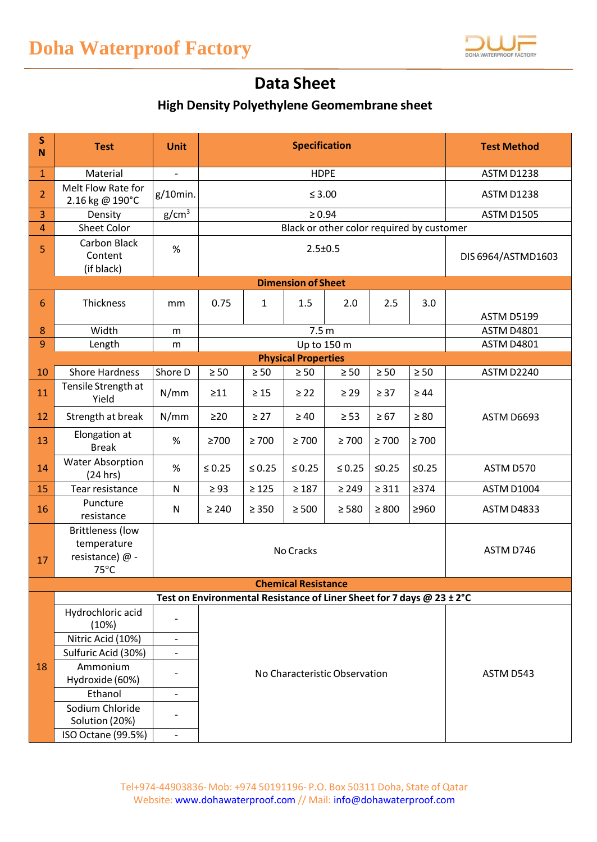

## **Data Sheet**

## **High Density Polyethylene Geomembrane sheet**

| $\mathsf{s}$<br>N | <b>Test</b>                                                                 | <b>Unit</b>              |                           |                               | <b>Test Method</b>                        |                                                                       |            |            |                   |  |  |  |  |
|-------------------|-----------------------------------------------------------------------------|--------------------------|---------------------------|-------------------------------|-------------------------------------------|-----------------------------------------------------------------------|------------|------------|-------------------|--|--|--|--|
| $\mathbf{1}$      | Material                                                                    | $\overline{\phantom{a}}$ |                           |                               | ASTM D1238                                |                                                                       |            |            |                   |  |  |  |  |
| $\overline{2}$    | Melt Flow Rate for<br>2.16 kg @ 190°C                                       | $g/10$ min.              |                           |                               | ASTM D1238                                |                                                                       |            |            |                   |  |  |  |  |
| 3                 | Density                                                                     | $g/cm^3$                 |                           |                               | <b>ASTM D1505</b>                         |                                                                       |            |            |                   |  |  |  |  |
| $\overline{4}$    | Sheet Color                                                                 |                          |                           |                               | Black or other color required by customer |                                                                       |            |            |                   |  |  |  |  |
| 5                 | <b>Carbon Black</b><br>Content<br>(if black)                                | $\%$                     |                           |                               | DIS 6964/ASTMD1603                        |                                                                       |            |            |                   |  |  |  |  |
|                   |                                                                             |                          | <b>Dimension of Sheet</b> |                               |                                           |                                                                       |            |            |                   |  |  |  |  |
| 6                 | Thickness                                                                   | mm                       | 0.75                      | 1                             | 1.5                                       | 2.0                                                                   | 2.5        | 3.0        | <b>ASTM D5199</b> |  |  |  |  |
| 8                 | Width                                                                       | m                        |                           |                               | ASTM D4801                                |                                                                       |            |            |                   |  |  |  |  |
| $\overline{9}$    | Length                                                                      | m                        |                           |                               | ASTM D4801                                |                                                                       |            |            |                   |  |  |  |  |
|                   | Up to 150 m<br><b>Physical Properties</b>                                   |                          |                           |                               |                                           |                                                                       |            |            |                   |  |  |  |  |
| 10                | <b>Shore Hardness</b>                                                       | Shore D                  | $\geq 50$                 | $\geq 50$                     | $\geq 50$                                 | $\geq 50$                                                             | $\geq 50$  | $\geq 50$  | ASTM D2240        |  |  |  |  |
| 11                | Tensile Strength at<br>Yield                                                | N/mm                     | $\geq$ 11                 | $\geq 15$                     | $\geq$ 22                                 | $\geq$ 29                                                             | $\geq$ 37  | $\geq 44$  |                   |  |  |  |  |
| 12                | Strength at break                                                           | N/mm                     | $\geq$ 20                 | $\geq$ 27                     | $\geq 40$                                 | $\geq$ 53                                                             | $\geq 67$  | $\geq 80$  | ASTM D6693        |  |  |  |  |
| 13                | Elongation at<br><b>Break</b>                                               | %                        | $\geq 700$                | $\geq 700$                    | $\geq 700$                                | $\geq 700$                                                            | $\geq 700$ | $\geq 700$ |                   |  |  |  |  |
| 14                | <b>Water Absorption</b><br>(24 hrs)                                         | %                        | $\leq 0.25$               | $\leq 0.25$                   | $\leq 0.25$                               | $\leq 0.25$                                                           | $≤0.25$    | $≤0.25$    | ASTM D570         |  |  |  |  |
| 15                | Tear resistance                                                             | ${\sf N}$                | $\geq 93$                 | $\geq 125$                    | $\geq 187$                                | $\geq 249$                                                            | $\geq 311$ | $\geq$ 374 | <b>ASTM D1004</b> |  |  |  |  |
| 16                | Puncture<br>resistance                                                      | ${\sf N}$                | $\geq 240$                | $\geq$ 350                    | $\geq 500$                                | $\geq$ 580                                                            | $\geq 800$ | $\geq 960$ | ASTM D4833        |  |  |  |  |
| 17                | <b>Brittleness (low</b><br>temperature<br>resistance) @ -<br>$75^{\circ}$ C |                          |                           | No Cracks                     | ASTM D746                                 |                                                                       |            |            |                   |  |  |  |  |
|                   |                                                                             |                          |                           |                               | <b>Chemical Resistance</b>                |                                                                       |            |            |                   |  |  |  |  |
|                   |                                                                             |                          |                           |                               |                                           | Test on Environmental Resistance of Liner Sheet for 7 days @ 23 ± 2°C |            |            |                   |  |  |  |  |
| 18                | Hydrochloric acid<br>(10%)                                                  |                          |                           |                               | ASTM D543                                 |                                                                       |            |            |                   |  |  |  |  |
|                   | Nitric Acid (10%)                                                           | $\overline{\phantom{a}}$ |                           |                               |                                           |                                                                       |            |            |                   |  |  |  |  |
|                   | Sulfuric Acid (30%)                                                         | $\overline{\phantom{0}}$ |                           |                               |                                           |                                                                       |            |            |                   |  |  |  |  |
|                   | Ammonium<br>Hydroxide (60%)                                                 |                          |                           | No Characteristic Observation |                                           |                                                                       |            |            |                   |  |  |  |  |
|                   | Ethanol                                                                     | $\overline{\phantom{0}}$ |                           |                               |                                           |                                                                       |            |            |                   |  |  |  |  |
|                   | Sodium Chloride<br>Solution (20%)                                           |                          |                           |                               |                                           |                                                                       |            |            |                   |  |  |  |  |
|                   | ISO Octane (99.5%)                                                          | $\overline{\phantom{a}}$ |                           |                               |                                           |                                                                       |            |            |                   |  |  |  |  |